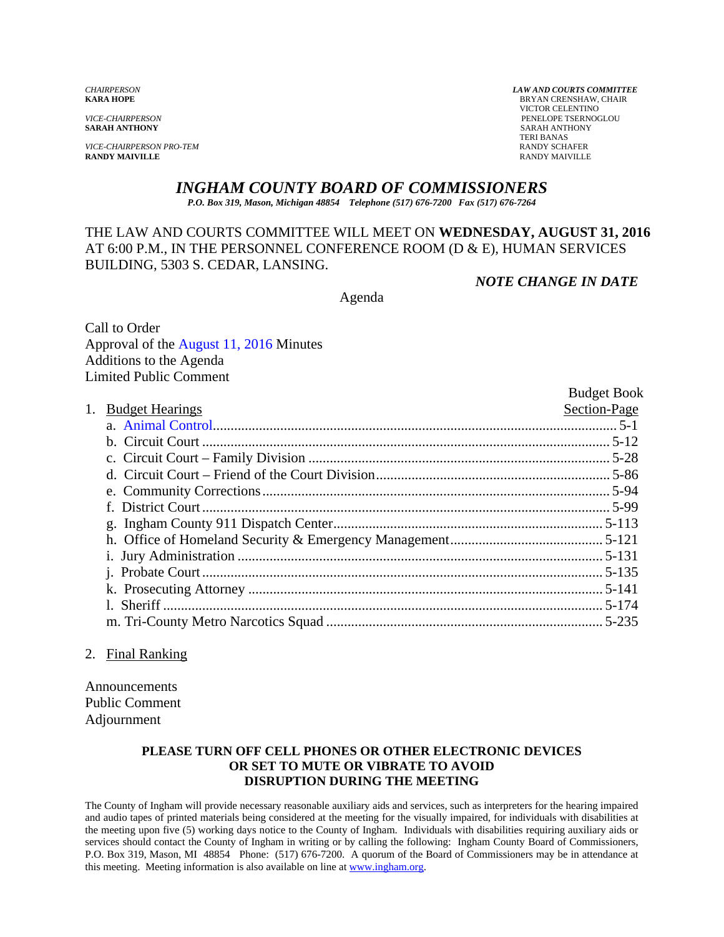*VICE-CHAIRPERSON PRO-TEM* RANDY SCHAFER **RANDY MAIVILLE** RANDY MAIVILLE

*CHAIRPERSON LAW AND COURTS COMMITTEE* **BRYAN CRENSHAW, CHAIR**  VICTOR CELENTINO *VICE-CHAIRPERSON* PENELOPE TSERNOGLOU **SARAH ANTHONY** TERI BANAS

### *INGHAM COUNTY BOARD OF COMMISSIONERS*

*P.O. Box 319, Mason, Michigan 48854 Telephone (517) 676-7200 Fax (517) 676-7264*

## THE LAW AND COURTS COMMITTEE WILL MEET ON **WEDNESDAY, AUGUST 31, 2016** AT 6:00 P.M., IN THE PERSONNEL CONFERENCE ROOM (D & E), HUMAN SERVICES BUILDING, 5303 S. CEDAR, LANSING.

*NOTE CHANGE IN DATE* 

Agenda

Call to Order Approval of t[he August 11, 2016 Minutes](#page-1-0)  Additions to the Agenda Limited Public Comment

|    |                        | <b>Budget Book</b> |
|----|------------------------|--------------------|
| 1. | <b>Budget Hearings</b> | Section-Page       |
|    |                        |                    |
|    |                        |                    |
|    |                        |                    |
|    |                        |                    |
|    |                        |                    |
|    |                        |                    |
|    |                        |                    |
|    |                        |                    |
|    |                        |                    |
|    |                        |                    |
|    |                        |                    |
|    |                        |                    |
|    |                        |                    |
|    |                        |                    |

#### 2. Final Ranking

Announcements Public Comment Adjournment

#### **PLEASE TURN OFF CELL PHONES OR OTHER ELECTRONIC DEVICES OR SET TO MUTE OR VIBRATE TO AVOID DISRUPTION DURING THE MEETING**

The County of Ingham will provide necessary reasonable auxiliary aids and services, such as interpreters for the hearing impaired and audio tapes of printed materials being considered at the meeting for the visually impaired, for individuals with disabilities at the meeting upon five (5) working days notice to the County of Ingham. Individuals with disabilities requiring auxiliary aids or services should contact the County of Ingham in writing or by calling the following: Ingham County Board of Commissioners, P.O. Box 319, Mason, MI 48854 Phone: (517) 676-7200. A quorum of the Board of Commissioners may be in attendance at this meeting. Meeting information is also available on line at www.ingham.org.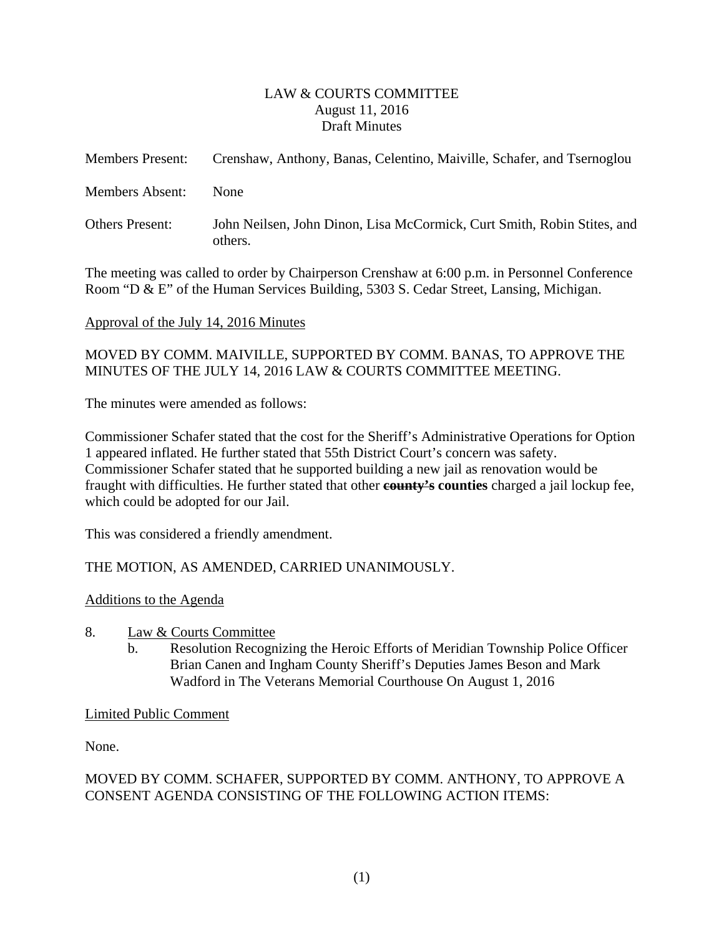### LAW & COURTS COMMITTEE August 11, 2016 Draft Minutes

<span id="page-1-0"></span>

| <b>Members Present:</b> | Crenshaw, Anthony, Banas, Celentino, Maiville, Schafer, and Tsernoglou             |
|-------------------------|------------------------------------------------------------------------------------|
| Members Absent:         | <b>None</b>                                                                        |
| <b>Others Present:</b>  | John Neilsen, John Dinon, Lisa McCormick, Curt Smith, Robin Stites, and<br>others. |

The meeting was called to order by Chairperson Crenshaw at 6:00 p.m. in Personnel Conference Room "D & E" of the Human Services Building, 5303 S. Cedar Street, Lansing, Michigan.

### Approval of the July 14, 2016 Minutes

# MOVED BY COMM. MAIVILLE, SUPPORTED BY COMM. BANAS, TO APPROVE THE MINUTES OF THE JULY 14, 2016 LAW & COURTS COMMITTEE MEETING.

The minutes were amended as follows:

Commissioner Schafer stated that the cost for the Sheriff's Administrative Operations for Option 1 appeared inflated. He further stated that 55th District Court's concern was safety. Commissioner Schafer stated that he supported building a new jail as renovation would be fraught with difficulties. He further stated that other **county's counties** charged a jail lockup fee, which could be adopted for our Jail.

This was considered a friendly amendment.

## THE MOTION, AS AMENDED, CARRIED UNANIMOUSLY.

### Additions to the Agenda

- 8. Law & Courts Committee
	- b. Resolution Recognizing the Heroic Efforts of Meridian Township Police Officer Brian Canen and Ingham County Sheriff's Deputies James Beson and Mark Wadford in The Veterans Memorial Courthouse On August 1, 2016

## Limited Public Comment

None.

# MOVED BY COMM. SCHAFER, SUPPORTED BY COMM. ANTHONY, TO APPROVE A CONSENT AGENDA CONSISTING OF THE FOLLOWING ACTION ITEMS: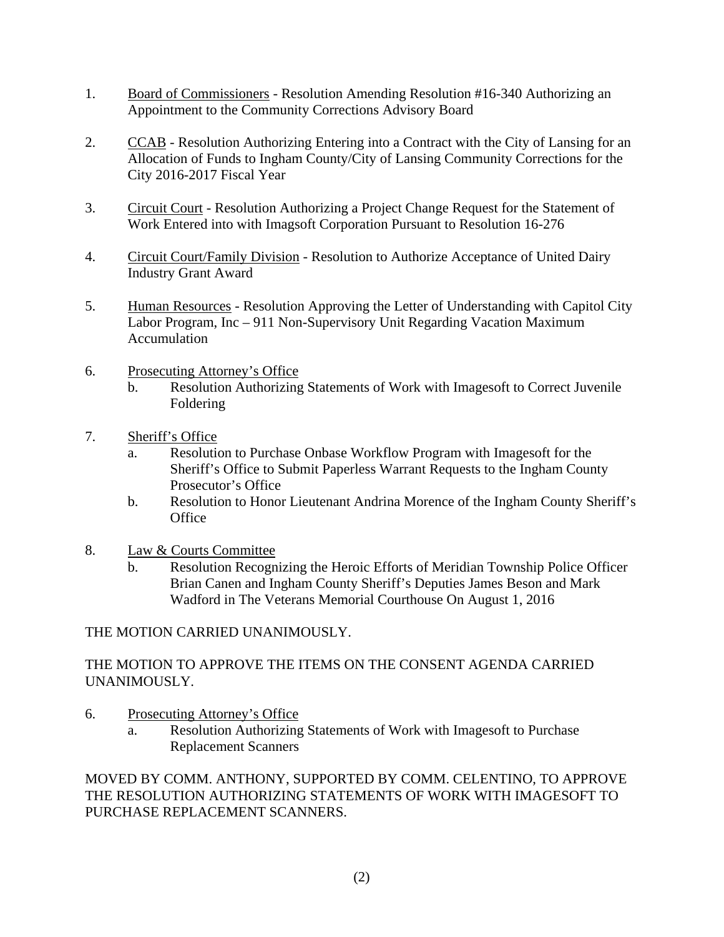- 1. Board of Commissioners Resolution Amending Resolution #16-340 Authorizing an Appointment to the Community Corrections Advisory Board
- 2. CCAB Resolution Authorizing Entering into a Contract with the City of Lansing for an Allocation of Funds to Ingham County/City of Lansing Community Corrections for the City 2016-2017 Fiscal Year
- 3. Circuit Court Resolution Authorizing a Project Change Request for the Statement of Work Entered into with Imagsoft Corporation Pursuant to Resolution 16-276
- 4. Circuit Court/Family Division Resolution to Authorize Acceptance of United Dairy Industry Grant Award
- 5. Human Resources Resolution Approving the Letter of Understanding with Capitol City Labor Program, Inc – 911 Non-Supervisory Unit Regarding Vacation Maximum Accumulation
- 6. Prosecuting Attorney's Office
	- b. Resolution Authorizing Statements of Work with Imagesoft to Correct Juvenile Foldering
- 7. Sheriff's Office
	- a. Resolution to Purchase Onbase Workflow Program with Imagesoft for the Sheriff's Office to Submit Paperless Warrant Requests to the Ingham County Prosecutor's Office
	- b. Resolution to Honor Lieutenant Andrina Morence of the Ingham County Sheriff's **Office**
- 8. Law & Courts Committee
	- b. Resolution Recognizing the Heroic Efforts of Meridian Township Police Officer Brian Canen and Ingham County Sheriff's Deputies James Beson and Mark Wadford in The Veterans Memorial Courthouse On August 1, 2016

## THE MOTION CARRIED UNANIMOUSLY.

## THE MOTION TO APPROVE THE ITEMS ON THE CONSENT AGENDA CARRIED UNANIMOUSLY.

- 6. Prosecuting Attorney's Office
	- a. Resolution Authorizing Statements of Work with Imagesoft to Purchase Replacement Scanners

## MOVED BY COMM. ANTHONY, SUPPORTED BY COMM. CELENTINO, TO APPROVE THE RESOLUTION AUTHORIZING STATEMENTS OF WORK WITH IMAGESOFT TO PURCHASE REPLACEMENT SCANNERS.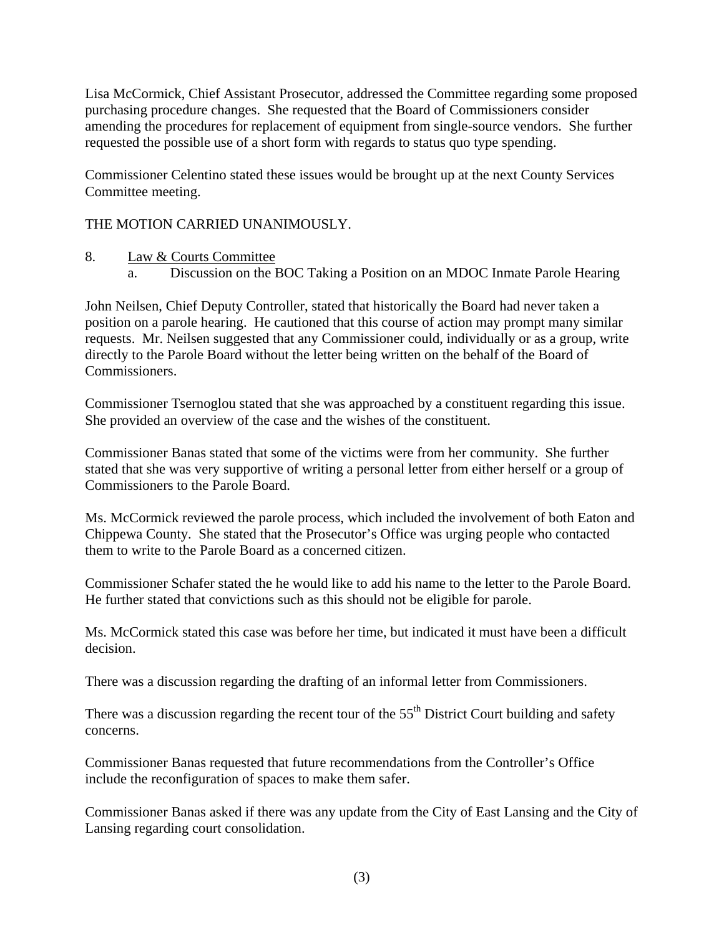Lisa McCormick, Chief Assistant Prosecutor, addressed the Committee regarding some proposed purchasing procedure changes. She requested that the Board of Commissioners consider amending the procedures for replacement of equipment from single-source vendors. She further requested the possible use of a short form with regards to status quo type spending.

Commissioner Celentino stated these issues would be brought up at the next County Services Committee meeting.

# THE MOTION CARRIED UNANIMOUSLY.

- 8. Law & Courts Committee
	- a. Discussion on the BOC Taking a Position on an MDOC Inmate Parole Hearing

John Neilsen, Chief Deputy Controller, stated that historically the Board had never taken a position on a parole hearing. He cautioned that this course of action may prompt many similar requests. Mr. Neilsen suggested that any Commissioner could, individually or as a group, write directly to the Parole Board without the letter being written on the behalf of the Board of Commissioners.

Commissioner Tsernoglou stated that she was approached by a constituent regarding this issue. She provided an overview of the case and the wishes of the constituent.

Commissioner Banas stated that some of the victims were from her community. She further stated that she was very supportive of writing a personal letter from either herself or a group of Commissioners to the Parole Board.

Ms. McCormick reviewed the parole process, which included the involvement of both Eaton and Chippewa County. She stated that the Prosecutor's Office was urging people who contacted them to write to the Parole Board as a concerned citizen.

Commissioner Schafer stated the he would like to add his name to the letter to the Parole Board. He further stated that convictions such as this should not be eligible for parole.

Ms. McCormick stated this case was before her time, but indicated it must have been a difficult decision.

There was a discussion regarding the drafting of an informal letter from Commissioners.

There was a discussion regarding the recent tour of the  $55<sup>th</sup>$  District Court building and safety concerns.

Commissioner Banas requested that future recommendations from the Controller's Office include the reconfiguration of spaces to make them safer.

Commissioner Banas asked if there was any update from the City of East Lansing and the City of Lansing regarding court consolidation.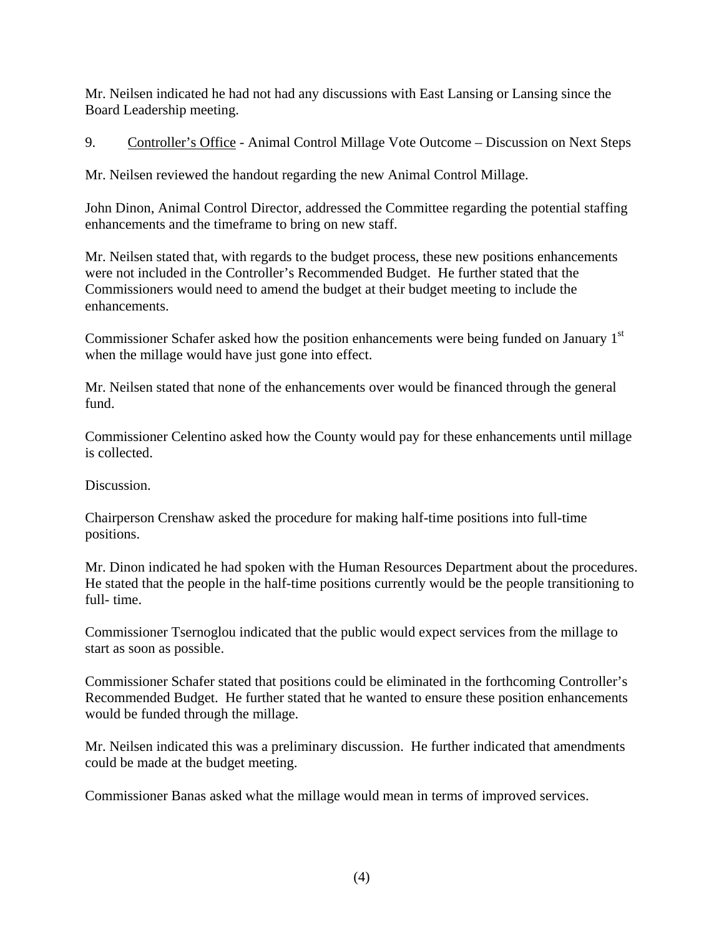Mr. Neilsen indicated he had not had any discussions with East Lansing or Lansing since the Board Leadership meeting.

9. Controller's Office - Animal Control Millage Vote Outcome – Discussion on Next Steps

Mr. Neilsen reviewed the handout regarding the new Animal Control Millage.

John Dinon, Animal Control Director, addressed the Committee regarding the potential staffing enhancements and the timeframe to bring on new staff.

Mr. Neilsen stated that, with regards to the budget process, these new positions enhancements were not included in the Controller's Recommended Budget. He further stated that the Commissioners would need to amend the budget at their budget meeting to include the enhancements.

Commissioner Schafer asked how the position enhancements were being funded on January 1<sup>st</sup> when the millage would have just gone into effect.

Mr. Neilsen stated that none of the enhancements over would be financed through the general fund.

Commissioner Celentino asked how the County would pay for these enhancements until millage is collected.

Discussion.

Chairperson Crenshaw asked the procedure for making half-time positions into full-time positions.

Mr. Dinon indicated he had spoken with the Human Resources Department about the procedures. He stated that the people in the half-time positions currently would be the people transitioning to full- time.

Commissioner Tsernoglou indicated that the public would expect services from the millage to start as soon as possible.

Commissioner Schafer stated that positions could be eliminated in the forthcoming Controller's Recommended Budget. He further stated that he wanted to ensure these position enhancements would be funded through the millage.

Mr. Neilsen indicated this was a preliminary discussion. He further indicated that amendments could be made at the budget meeting.

Commissioner Banas asked what the millage would mean in terms of improved services.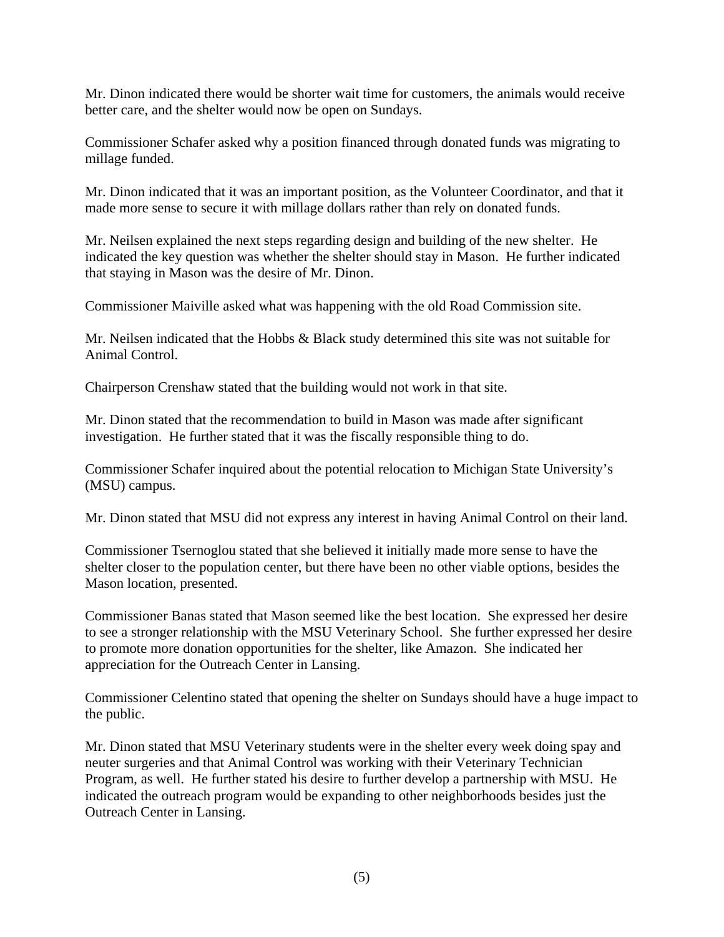Mr. Dinon indicated there would be shorter wait time for customers, the animals would receive better care, and the shelter would now be open on Sundays.

Commissioner Schafer asked why a position financed through donated funds was migrating to millage funded.

Mr. Dinon indicated that it was an important position, as the Volunteer Coordinator, and that it made more sense to secure it with millage dollars rather than rely on donated funds.

Mr. Neilsen explained the next steps regarding design and building of the new shelter.He indicated the key question was whether the shelter should stay in Mason. He further indicated that staying in Mason was the desire of Mr. Dinon.

Commissioner Maiville asked what was happening with the old Road Commission site.

Mr. Neilsen indicated that the Hobbs & Black study determined this site was not suitable for Animal Control.

Chairperson Crenshaw stated that the building would not work in that site.

Mr. Dinon stated that the recommendation to build in Mason was made after significant investigation. He further stated that it was the fiscally responsible thing to do.

Commissioner Schafer inquired about the potential relocation to Michigan State University's (MSU) campus.

Mr. Dinon stated that MSU did not express any interest in having Animal Control on their land.

Commissioner Tsernoglou stated that she believed it initially made more sense to have the shelter closer to the population center, but there have been no other viable options, besides the Mason location, presented.

Commissioner Banas stated that Mason seemed like the best location. She expressed her desire to see a stronger relationship with the MSU Veterinary School. She further expressed her desire to promote more donation opportunities for the shelter, like Amazon. She indicated her appreciation for the Outreach Center in Lansing.

Commissioner Celentino stated that opening the shelter on Sundays should have a huge impact to the public.

Mr. Dinon stated that MSU Veterinary students were in the shelter every week doing spay and neuter surgeries and that Animal Control was working with their Veterinary Technician Program, as well. He further stated his desire to further develop a partnership with MSU. He indicated the outreach program would be expanding to other neighborhoods besides just the Outreach Center in Lansing.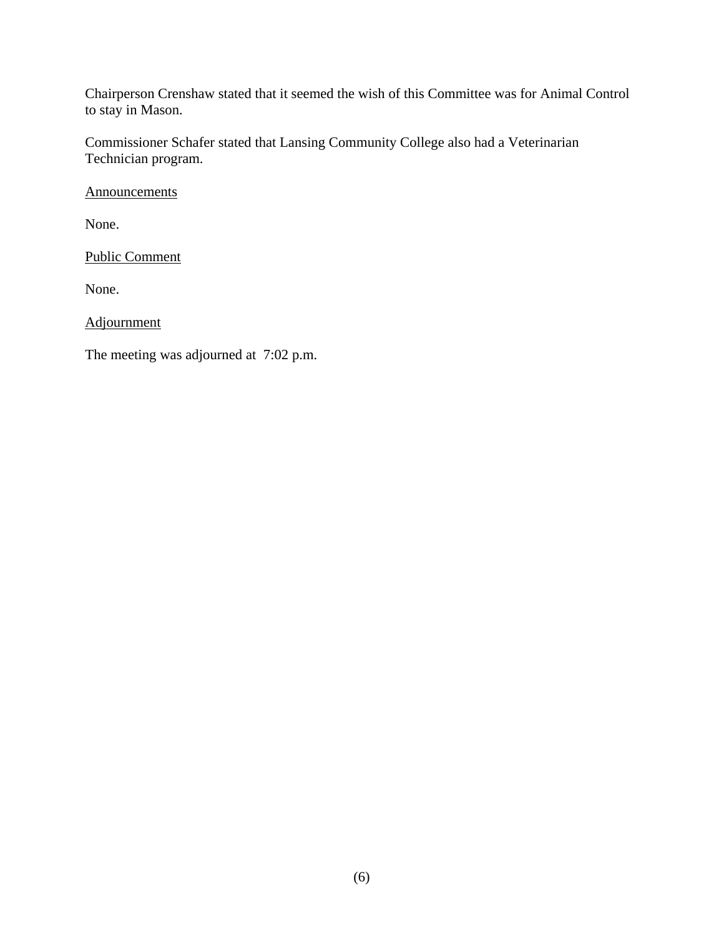Chairperson Crenshaw stated that it seemed the wish of this Committee was for Animal Control to stay in Mason.

Commissioner Schafer stated that Lansing Community College also had a Veterinarian Technician program.

**Announcements** 

None.

Public Comment

None.

Adjournment

The meeting was adjourned at 7:02 p.m.